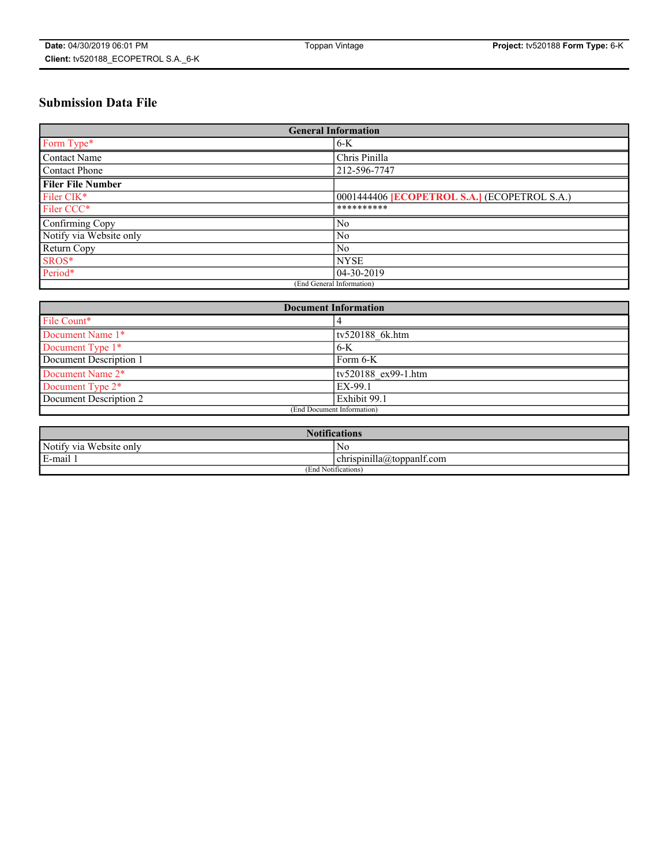# **Submission Data File**

| <b>General Information</b> |                                                     |
|----------------------------|-----------------------------------------------------|
| Form Type*                 | $6-K$                                               |
| Contact Name               | Chris Pinilla                                       |
| Contact Phone              | 212-596-7747                                        |
| <b>Filer File Number</b>   |                                                     |
| Filer CIK*                 | 0001444406 <b>[ECOPETROL S.A.]</b> (ECOPETROL S.A.) |
| Filer CCC*                 | **********                                          |
| Confirming Copy            | N <sub>0</sub>                                      |
| Notify via Website only    | N <sub>0</sub>                                      |
| Return Copy                | N <sub>0</sub>                                      |
| SROS*                      | <b>NYSE</b>                                         |
| Period*                    | 04-30-2019                                          |
| (End General Information)  |                                                     |

| <b>Document Information</b> |                     |
|-----------------------------|---------------------|
| File Count*                 |                     |
| Document Name 1*            | tv520188 6k.htm     |
| Document Type 1*            | $6-K$               |
| Document Description 1      | Form 6-K            |
| Document Name 2*            | tv520188 ex99-1.htm |
| Document Type 2*            | EX-99.1             |
| Document Description 2      | Exhibit 99.1        |
| (End Document Information)  |                     |

| <b>Notifications</b>       |                                 |  |
|----------------------------|---------------------------------|--|
| Notify via<br>Website only | N <sub>0</sub>                  |  |
| $E$ -mail 1                | <br>chrispinilla(a)toppanif.com |  |
| (End Notifications)        |                                 |  |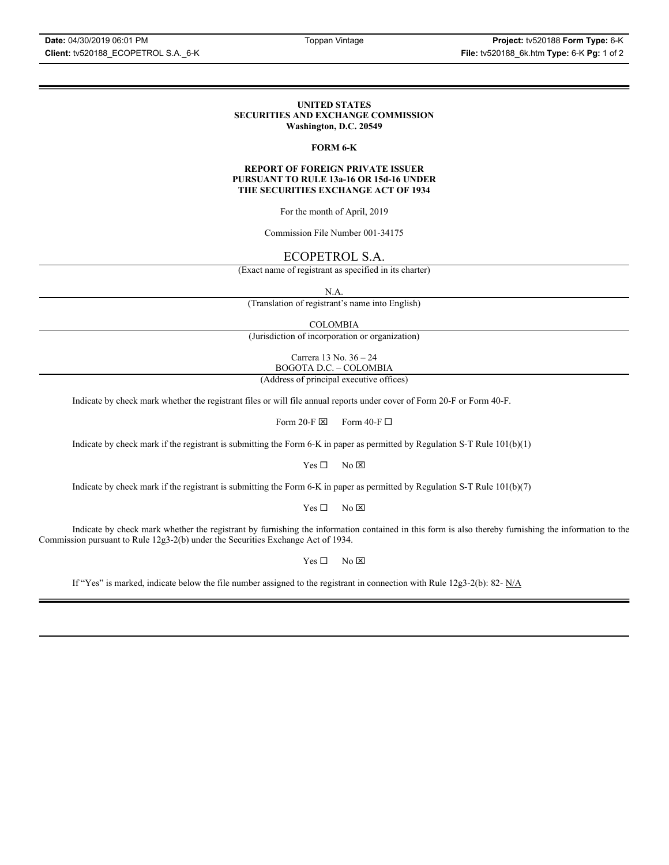### **UNITED STATES SECURITIES AND EXCHANGE COMMISSION Washington, D.C. 20549**

### **FORM 6-K**

### **REPORT OF FOREIGN PRIVATE ISSUER PURSUANT TO RULE 13a-16 OR 15d-16 UNDER THE SECURITIES EXCHANGE ACT OF 1934**

For the month of April, 2019

Commission File Number 001-34175

# ECOPETROL S.A.

(Exact name of registrant as specified in its charter)

N.A.

(Translation of registrant's name into English)

COLOMBIA

(Jurisdiction of incorporation or organization)

Carrera 13 No. 36 – 24 BOGOTA D.C. – COLOMBIA

(Address of principal executive offices)

Indicate by check mark whether the registrant files or will file annual reports under cover of Form 20-F or Form 40-F.

Form 20-F  $\boxtimes$  Form 40-F  $\Box$ 

Indicate by check mark if the registrant is submitting the Form 6-K in paper as permitted by Regulation S-T Rule 101(b)(1)

 $Yes \Box$  No  $\boxtimes$ 

Indicate by check mark if the registrant is submitting the Form 6-K in paper as permitted by Regulation S-T Rule 101(b)(7)

 $Yes \Box$  No  $\boxtimes$ 

Indicate by check mark whether the registrant by furnishing the information contained in this form is also thereby furnishing the information to the Commission pursuant to Rule 12g3-2(b) under the Securities Exchange Act of 1934.

 $Yes \Box$  No  $\boxtimes$ 

If "Yes" is marked, indicate below the file number assigned to the registrant in connection with Rule 12g3-2(b): 82-  $N/A$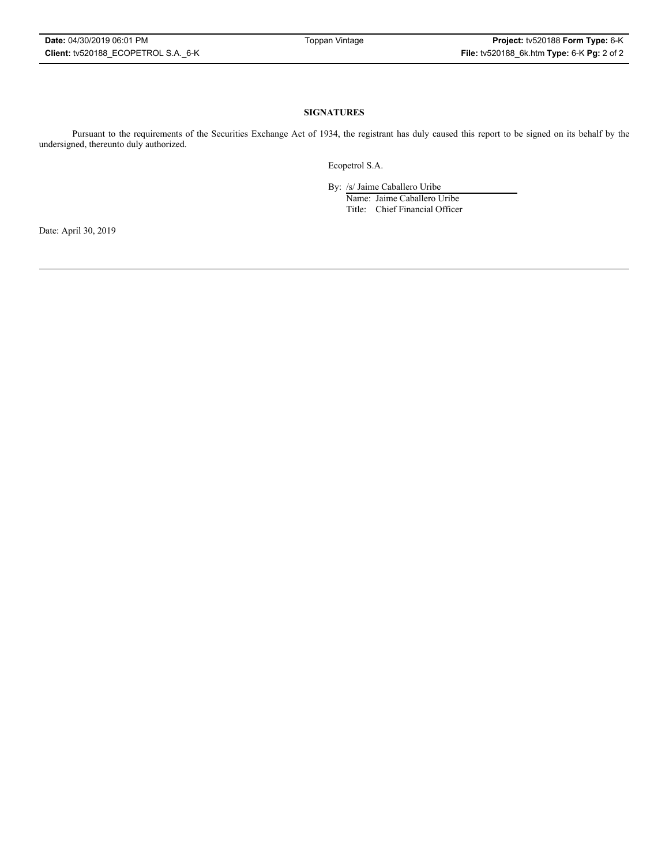### **SIGNATURES**

Pursuant to the requirements of the Securities Exchange Act of 1934, the registrant has duly caused this report to be signed on its behalf by the undersigned, thereunto duly authorized.

Ecopetrol S.A.

By: /s/ Jaime Caballero Uribe

Name: Jaime Caballero Uribe Title: Chief Financial Officer

Date: April 30, 2019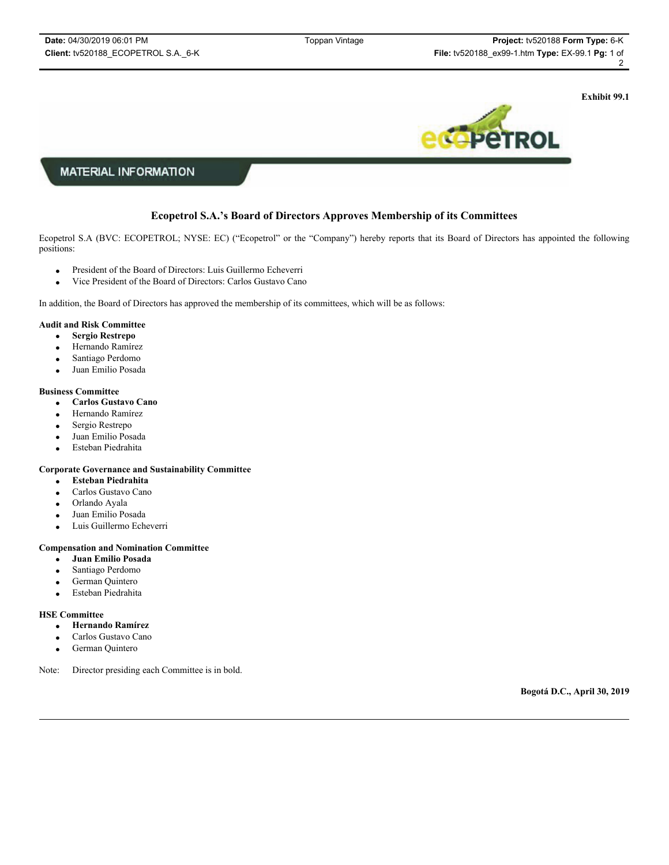**Exhibit 99.1**



### **MATERIAL INFORMATION**

### **Ecopetrol S.A.'s Board of Directors Approves Membership of its Committees**

Ecopetrol S.A (BVC: ECOPETROL; NYSE: EC) ("Ecopetrol" or the "Company") hereby reports that its Board of Directors has appointed the following positions:

- **•** President of the Board of Directors: Luis Guillermo Echeverri
- vice President of the Board of Directors: Carlos Gustavo Cano

In addition, the Board of Directors has approved the membership of its committees, which will be as follows:

### **Audit and Risk Committee**

- x **Sergio Restrepo**
- Hernando Ramírez
- Santiago Perdomo
- Juan Emilio Posada

### **Business Committee**

- x **Carlos Gustavo Cano**
- Hernando Ramírez
- Sergio Restrepo
- Juan Emilio Posada
- Esteban Piedrahita

### **Corporate Governance and Sustainability Committee**

- x **Esteban Piedrahita**
- Carlos Gustavo Cano
- Orlando Ayala
- Juan Emilio Posada
- Luis Guillermo Echeverri

### **Compensation and Nomination Committee**

- x **Juan Emilio Posada**
- Santiago Perdomo
- German Quintero
- Esteban Piedrahita

#### **HSE Committee**

- x **Hernando Ramírez**
- Carlos Gustavo Cano
- German Quintero

Note: Director presiding each Committee is in bold.

**Bogotá D.C., April 30, 2019**